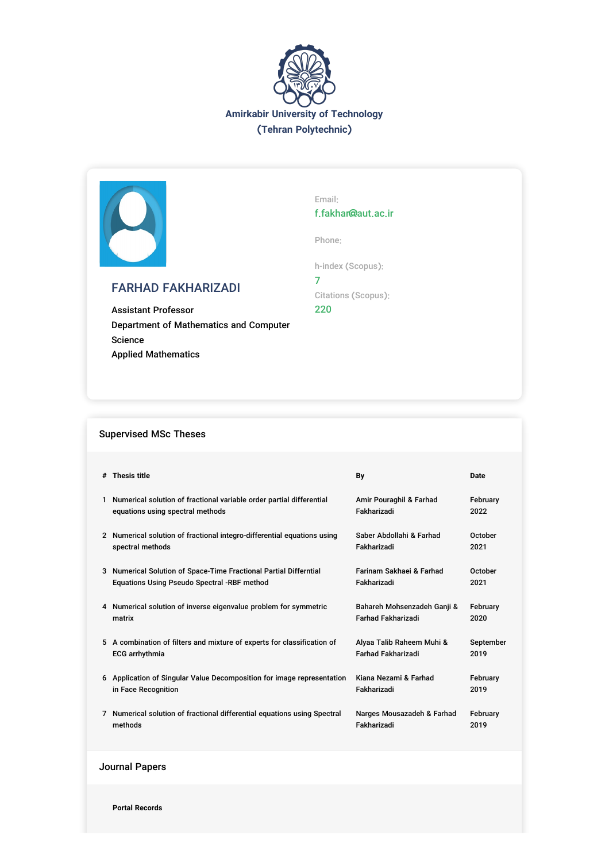



# FARHAD FAKHARIZADI

Assistant Professor Department of Mathematics and Computer Science Applied Mathematics

Email: f.fakhar@aut.ac.ir

Phone:

h-index (Scopus): 7 Citations (Scopus): 220

## Supervised MSc Theses

| # Thesis title                                                           | Bv                          | Date      |
|--------------------------------------------------------------------------|-----------------------------|-----------|
| Numerical solution of fractional variable order partial differential     | Amir Pouraghil & Farhad     | February  |
| equations using spectral methods                                         | Fakharizadi                 | 2022      |
| 2 Numerical solution of fractional integro-differential equations using  | Saber Abdollahi & Farhad    | October   |
| spectral methods                                                         | Fakharizadi                 | 2021      |
| 3 Numerical Solution of Space-Time Fractional Partial Differntial        | Farinam Sakhaei & Farhad    | October   |
| Equations Using Pseudo Spectral -RBF method                              | Fakharizadi                 | 2021      |
| 4 Numerical solution of inverse eigenvalue problem for symmetric         | Bahareh Mohsenzadeh Ganji & | February  |
| matrix                                                                   | <b>Farhad Fakharizadi</b>   | 2020      |
| 5 A combination of filters and mixture of experts for classification of  | Alyaa Talib Raheem Muhi &   | September |
| <b>ECG</b> arrhythmia                                                    | <b>Farhad Fakharizadi</b>   | 2019      |
| 6 Application of Singular Value Decomposition for image representation   | Kiana Nezami & Farhad       | February  |
| in Face Recognition                                                      | Fakharizadi                 | 2019      |
| 7 Numerical solution of fractional differential equations using Spectral | Narges Mousazadeh & Farhad  | February  |
| methods                                                                  | Fakharizadi                 | 2019      |

Journal Papers

**Portal Records**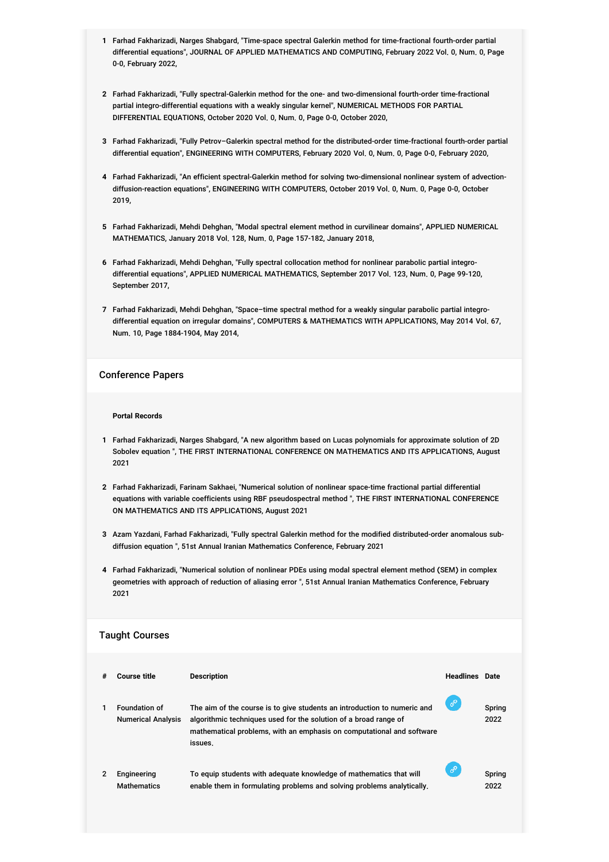- **1** Farhad Fakharizadi, Narges Shabgard, "Time-space spectral Galerkin method for time-fractional fourth-order partial differential equations", JOURNAL OF APPLIED MATHEMATICS AND COMPUTING, February 2022 Vol. 0, Num. 0, Page 0-0, February 2022,
- **2** Farhad Fakharizadi, "Fully spectral-Galerkin method for the one- and two-dimensional fourth-order time-fractional partial integro-differential equations with a weakly singular kernel", NUMERICAL METHODS FOR PARTIAL DIFFERENTIAL EQUATIONS, October 2020 Vol. 0, Num. 0, Page 0-0, October 2020,
- **3** Farhad Fakharizadi, "Fully Petrov–Galerkin spectral method for the distributed-order time-fractional fourth-order partial differential equation", ENGINEERING WITH COMPUTERS, February 2020 Vol. 0, Num. 0, Page 0-0, February 2020,
- **4** Farhad Fakharizadi, "An efficient spectral-Galerkin method for solving two-dimensional nonlinear system of advectiondiffusion-reaction equations", ENGINEERING WITH COMPUTERS, October 2019 Vol. 0, Num. 0, Page 0-0, October 2019,
- **5** Farhad Fakharizadi, Mehdi Dehghan, "Modal spectral element method in curvilinear domains", APPLIED NUMERICAL MATHEMATICS, January 2018 Vol. 128, Num. 0, Page 157-182, January 2018,
- **6** Farhad Fakharizadi, Mehdi Dehghan, "Fully spectral collocation method for nonlinear parabolic partial integrodifferential equations", APPLIED NUMERICAL MATHEMATICS, September 2017 Vol. 123, Num. 0, Page 99-120, September 2017,
- **7** Farhad Fakharizadi, Mehdi Dehghan, "Space–time spectral method for a weakly singular parabolic partial integrodifferential equation on irregular domains", COMPUTERS & MATHEMATICS WITH APPLICATIONS, May 2014 Vol. 67, Num. 10, Page 1884-1904, May 2014,

### Conference Papers

#### **Portal Records**

- **1** Farhad Fakharizadi, Narges Shabgard, "A new algorithm based on Lucas polynomials for approximate solution of 2D Sobolev equation ", THE FIRST INTERNATIONAL CONFERENCE ON MATHEMATICS AND ITS APPLICATIONS, August 2021
- **2** Farhad Fakharizadi, Farinam Sakhaei, "Numerical solution of nonlinear space-time fractional partial differential equations with variable coefficients using RBF pseudospectral method ", THE FIRST INTERNATIONAL CONFERENCE ON MATHEMATICS AND ITS APPLICATIONS, August 2021
- **3** Azam Yazdani, Farhad Fakharizadi, "Fully spectral Galerkin method for the modified distributed-order anomalous subdiffusion equation ", 51st Annual Iranian Mathematics Conference, February 2021
- **4** Farhad Fakharizadi, "Numerical solution of nonlinear PDEs using modal spectral element method (SEM) in complex geometries with approach of reduction of aliasing error ", 51st Annual Iranian Mathematics Conference, February 2021

#### Taught Courses

| # | <b>Course title</b>                               | <b>Description</b>                                                                                                                                                                                                               | <b>Headlines</b> Date |                |
|---|---------------------------------------------------|----------------------------------------------------------------------------------------------------------------------------------------------------------------------------------------------------------------------------------|-----------------------|----------------|
| 1 | <b>Foundation of</b><br><b>Numerical Analysis</b> | The aim of the course is to give students an introduction to numeric and<br>algorithmic techniques used for the solution of a broad range of<br>mathematical problems, with an emphasis on computational and software<br>issues. | ℰ                     | Spring<br>2022 |
| 2 | Engineering<br><b>Mathematics</b>                 | To equip students with adequate knowledge of mathematics that will<br>enable them in formulating problems and solving problems analytically.                                                                                     | $\mathscr{E}$         | Spring<br>2022 |